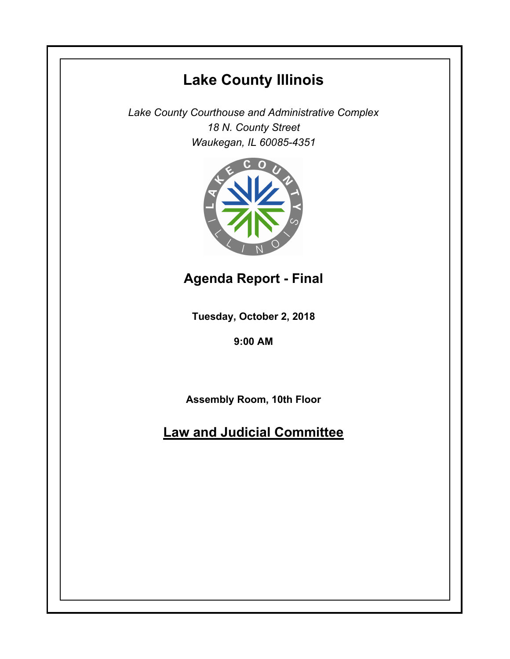# **Lake County Illinois**

*Lake County Courthouse and Administrative Complex 18 N. County Street Waukegan, IL 60085-4351*



**Agenda Report - Final**

**Tuesday, October 2, 2018**

**9:00 AM**

**Assembly Room, 10th Floor**

**Law and Judicial Committee**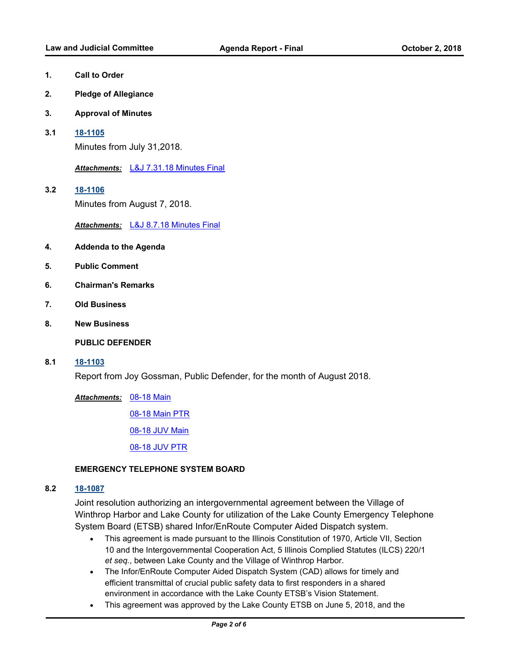- **1. Call to Order**
- **2. Pledge of Allegiance**
- **3. Approval of Minutes**
- **3.1 [18-1105](http://lakecounty.legistar.com/gateway.aspx?m=l&id=/matter.aspx?key=15455)**

Minutes from July 31,2018.

*Attachments:* [L&J 7.31.18 Minutes Final](http://lakecounty.legistar.com/gateway.aspx?M=F&ID=2902c4f9-f47d-413e-a4f7-468d745c2364.pdf)

**3.2 [18-1106](http://lakecounty.legistar.com/gateway.aspx?m=l&id=/matter.aspx?key=15456)** Minutes from August 7, 2018.

*Attachments:* [L&J 8.7.18 Minutes Final](http://lakecounty.legistar.com/gateway.aspx?M=F&ID=e62d7dbd-a2fe-4561-8673-13c586ad7a55.pdf)

- **4. Addenda to the Agenda**
- **5. Public Comment**
- **6. Chairman's Remarks**
- **7. Old Business**
- **8. New Business**

**PUBLIC DEFENDER**

**8.1 [18-1103](http://lakecounty.legistar.com/gateway.aspx?m=l&id=/matter.aspx?key=15453)**

Report from Joy Gossman, Public Defender, for the month of August 2018.

[08-18 Main](http://lakecounty.legistar.com/gateway.aspx?M=F&ID=65c21a7e-b800-4ad3-8ae7-2309d37a603a.pdf) *Attachments:*

[08-18 Main PTR](http://lakecounty.legistar.com/gateway.aspx?M=F&ID=eb043455-ce31-4730-9456-473d11bb5913.pdf)

[08-18 JUV Main](http://lakecounty.legistar.com/gateway.aspx?M=F&ID=ddd9fafb-4cef-495c-8287-0a8b76c36c76.pdf)

[08-18 JUV PTR](http://lakecounty.legistar.com/gateway.aspx?M=F&ID=9041354b-926c-4909-8fa1-fbc8698ab8f0.pdf)

#### **EMERGENCY TELEPHONE SYSTEM BOARD**

#### **8.2 [18-1087](http://lakecounty.legistar.com/gateway.aspx?m=l&id=/matter.aspx?key=15436)**

Joint resolution authorizing an intergovernmental agreement between the Village of Winthrop Harbor and Lake County for utilization of the Lake County Emergency Telephone System Board (ETSB) shared Infor/EnRoute Computer Aided Dispatch system.

- · This agreement is made pursuant to the Illinois Constitution of 1970, Article VII, Section 10 and the Intergovernmental Cooperation Act, 5 Illinois Complied Statutes (ILCS) 220/1 *et seq.*, between Lake County and the Village of Winthrop Harbor.
- · The Infor/EnRoute Computer Aided Dispatch System (CAD) allows for timely and efficient transmittal of crucial public safety data to first responders in a shared environment in accordance with the Lake County ETSB's Vision Statement.
- · This agreement was approved by the Lake County ETSB on June 5, 2018, and the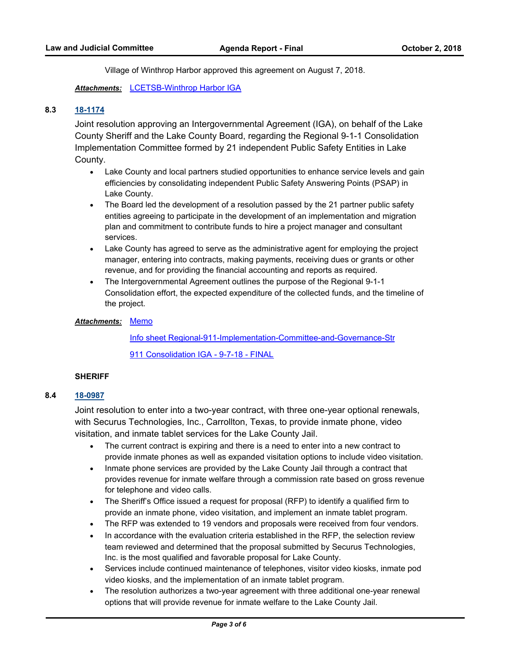Village of Winthrop Harbor approved this agreement on August 7, 2018.

*Attachments:* [LCETSB-Winthrop Harbor IGA](http://lakecounty.legistar.com/gateway.aspx?M=F&ID=fa8f6e65-af99-4f66-9552-43e81b140d9d.pdf)

## **8.3 [18-1174](http://lakecounty.legistar.com/gateway.aspx?m=l&id=/matter.aspx?key=15522)**

Joint resolution approving an Intergovernmental Agreement (IGA), on behalf of the Lake County Sheriff and the Lake County Board, regarding the Regional 9-1-1 Consolidation Implementation Committee formed by 21 independent Public Safety Entities in Lake County.

- · Lake County and local partners studied opportunities to enhance service levels and gain efficiencies by consolidating independent Public Safety Answering Points (PSAP) in Lake County.
- · The Board led the development of a resolution passed by the 21 partner public safety entities agreeing to participate in the development of an implementation and migration plan and commitment to contribute funds to hire a project manager and consultant services.
- · Lake County has agreed to serve as the administrative agent for employing the project manager, entering into contracts, making payments, receiving dues or grants or other revenue, and for providing the financial accounting and reports as required.
- · The Intergovernmental Agreement outlines the purpose of the Regional 9-1-1 Consolidation effort, the expected expenditure of the collected funds, and the timeline of the project.

#### <u>Attachments: [Memo](http://lakecounty.legistar.com/gateway.aspx?M=F&ID=75e8af2e-fb26-42a6-82fe-2ba4c0167cdf.pdf)</u>

[Info sheet Regional-911-Implementation-Committee-and-Governance-Str](http://lakecounty.legistar.com/gateway.aspx?M=F&ID=ffc1b54b-967d-44c2-ab0b-f07333d8ef0d.pdf) [911 Consolidation IGA - 9-7-18 - FINAL](http://lakecounty.legistar.com/gateway.aspx?M=F&ID=150ed8b2-bb01-4b36-a6d2-30106f3411f5.pdf)

#### **SHERIFF**

#### **8.4 [18-0987](http://lakecounty.legistar.com/gateway.aspx?m=l&id=/matter.aspx?key=15330)**

Joint resolution to enter into a two-year contract, with three one-year optional renewals, with Securus Technologies, Inc., Carrollton, Texas, to provide inmate phone, video visitation, and inmate tablet services for the Lake County Jail.

- · The current contract is expiring and there is a need to enter into a new contract to provide inmate phones as well as expanded visitation options to include video visitation.
- · Inmate phone services are provided by the Lake County Jail through a contract that provides revenue for inmate welfare through a commission rate based on gross revenue for telephone and video calls.
- · The Sheriff's Office issued a request for proposal (RFP) to identify a qualified firm to provide an inmate phone, video visitation, and implement an inmate tablet program.
- · The RFP was extended to 19 vendors and proposals were received from four vendors.
- In accordance with the evaluation criteria established in the RFP, the selection review team reviewed and determined that the proposal submitted by Securus Technologies, Inc. is the most qualified and favorable proposal for Lake County.
- · Services include continued maintenance of telephones, visitor video kiosks, inmate pod video kiosks, and the implementation of an inmate tablet program.
- The resolution authorizes a two-year agreement with three additional one-year renewal options that will provide revenue for inmate welfare to the Lake County Jail.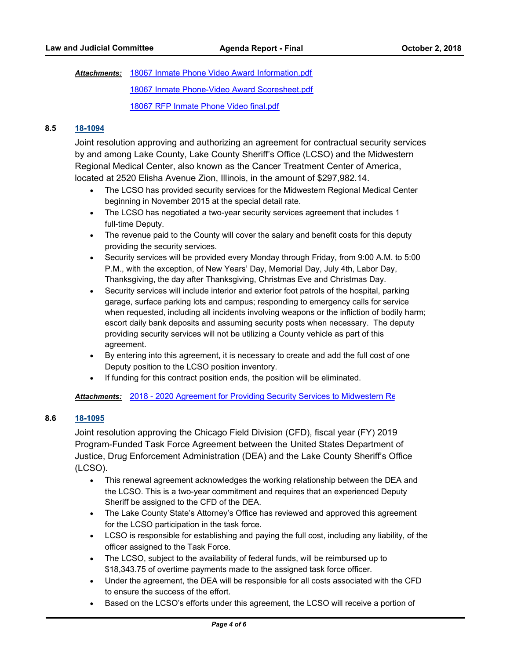Attachments: [18067 Inmate Phone Video Award Information.pdf](http://lakecounty.legistar.com/gateway.aspx?M=F&ID=2297b1ea-a884-41cf-98ce-5b807844f8f0.pdf) [18067 Inmate Phone-Video Award Scoresheet.pdf](http://lakecounty.legistar.com/gateway.aspx?M=F&ID=f3090c97-5b78-42ed-a52b-653957f62a40.pdf) [18067 RFP Inmate Phone Video final.pdf](http://lakecounty.legistar.com/gateway.aspx?M=F&ID=cae484ec-e53d-40b2-a8cf-80a03c7c256a.pdf)

## **8.5 [18-1094](http://lakecounty.legistar.com/gateway.aspx?m=l&id=/matter.aspx?key=15444)**

Joint resolution approving and authorizing an agreement for contractual security services by and among Lake County, Lake County Sheriff's Office (LCSO) and the Midwestern Regional Medical Center, also known as the Cancer Treatment Center of America, located at 2520 Elisha Avenue Zion, Illinois, in the amount of \$297,982.14.

- · The LCSO has provided security services for the Midwestern Regional Medical Center beginning in November 2015 at the special detail rate.
- · The LCSO has negotiated a two-year security services agreement that includes 1 full-time Deputy.
- The revenue paid to the County will cover the salary and benefit costs for this deputy providing the security services.
- · Security services will be provided every Monday through Friday, from 9:00 A.M. to 5:00 P.M., with the exception, of New Years' Day, Memorial Day, July 4th, Labor Day, Thanksgiving, the day after Thanksgiving, Christmas Eve and Christmas Day.
- · Security services will include interior and exterior foot patrols of the hospital, parking garage, surface parking lots and campus; responding to emergency calls for service when requested, including all incidents involving weapons or the infliction of bodily harm; escort daily bank deposits and assuming security posts when necessary. The deputy providing security services will not be utilizing a County vehicle as part of this agreement.
- · By entering into this agreement, it is necessary to create and add the full cost of one Deputy position to the LCSO position inventory.
- · If funding for this contract position ends, the position will be eliminated.

Attachments: [2018 - 2020 Agreement for Providing Security Services to Midwestern Re](http://lakecounty.legistar.com/gateway.aspx?M=F&ID=888f0a79-89af-483b-a244-2292ef798fe2.pdf)gional Medical A

## **8.6 [18-1095](http://lakecounty.legistar.com/gateway.aspx?m=l&id=/matter.aspx?key=15445)**

Joint resolution approving the Chicago Field Division (CFD), fiscal year (FY) 2019 Program-Funded Task Force Agreement between the United States Department of Justice, Drug Enforcement Administration (DEA) and the Lake County Sheriff's Office (LCSO).

- · This renewal agreement acknowledges the working relationship between the DEA and the LCSO. This is a two-year commitment and requires that an experienced Deputy Sheriff be assigned to the CFD of the DEA.
- · The Lake County State's Attorney's Office has reviewed and approved this agreement for the LCSO participation in the task force.
- · LCSO is responsible for establishing and paying the full cost, including any liability, of the officer assigned to the Task Force.
- · The LCSO, subject to the availability of federal funds, will be reimbursed up to \$18,343.75 of overtime payments made to the assigned task force officer.
- · Under the agreement, the DEA will be responsible for all costs associated with the CFD to ensure the success of the effort.
- · Based on the LCSO's efforts under this agreement, the LCSO will receive a portion of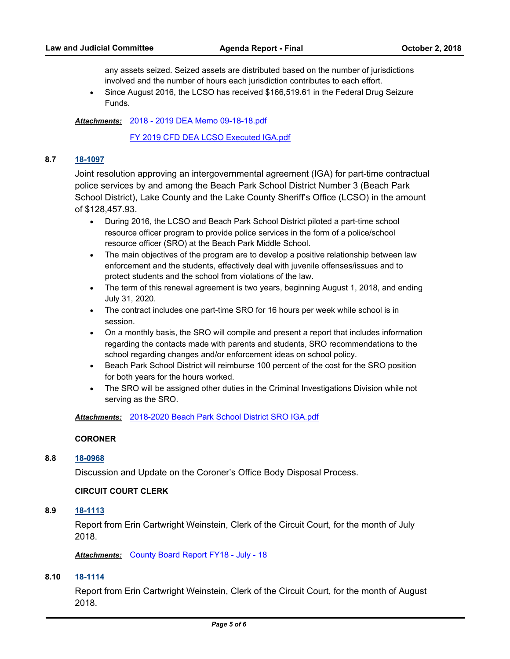any assets seized. Seized assets are distributed based on the number of jurisdictions involved and the number of hours each jurisdiction contributes to each effort.

· Since August 2016, the LCSO has received \$166,519.61 in the Federal Drug Seizure Funds.

[2018 - 2019 DEA Memo 09-18-18.pdf](http://lakecounty.legistar.com/gateway.aspx?M=F&ID=1fac4e6d-59ad-49bd-ab82-a719c918d74f.pdf) *Attachments:*

[FY 2019 CFD DEA LCSO Executed IGA.pdf](http://lakecounty.legistar.com/gateway.aspx?M=F&ID=1de77a78-aad2-42a0-9a91-b3a6f5bcda60.pdf)

#### **8.7 [18-1097](http://lakecounty.legistar.com/gateway.aspx?m=l&id=/matter.aspx?key=15447)**

Joint resolution approving an intergovernmental agreement (IGA) for part-time contractual police services by and among the Beach Park School District Number 3 (Beach Park School District), Lake County and the Lake County Sheriff's Office (LCSO) in the amount of \$128,457.93.

- · During 2016, the LCSO and Beach Park School District piloted a part-time school resource officer program to provide police services in the form of a police/school resource officer (SRO) at the Beach Park Middle School.
- The main objectives of the program are to develop a positive relationship between law enforcement and the students, effectively deal with juvenile offenses/issues and to protect students and the school from violations of the law.
- · The term of this renewal agreement is two years, beginning August 1, 2018, and ending July 31, 2020.
- · The contract includes one part-time SRO for 16 hours per week while school is in session.
- · On a monthly basis, the SRO will compile and present a report that includes information regarding the contacts made with parents and students, SRO recommendations to the school regarding changes and/or enforcement ideas on school policy.
- · Beach Park School District will reimburse 100 percent of the cost for the SRO position for both years for the hours worked.
- · The SRO will be assigned other duties in the Criminal Investigations Division while not serving as the SRO.

*Attachments:* [2018-2020 Beach Park School District SRO IGA.pdf](http://lakecounty.legistar.com/gateway.aspx?M=F&ID=ff5404cb-21a5-4030-9891-3517de186cae.pdf)

#### **CORONER**

#### **8.8 [18-0968](http://lakecounty.legistar.com/gateway.aspx?m=l&id=/matter.aspx?key=15311)**

Discussion and Update on the Coroner's Office Body Disposal Process.

## **CIRCUIT COURT CLERK**

# **8.9 [18-1113](http://lakecounty.legistar.com/gateway.aspx?m=l&id=/matter.aspx?key=15464)**

Report from Erin Cartwright Weinstein, Clerk of the Circuit Court, for the month of July 2018.

*Attachments:* [County Board Report FY18 - July - 18](http://lakecounty.legistar.com/gateway.aspx?M=F&ID=a8539761-1cc3-4c3d-bc36-46bc9ca895b3.pdf)

## **8.10 [18-1114](http://lakecounty.legistar.com/gateway.aspx?m=l&id=/matter.aspx?key=15465)**

Report from Erin Cartwright Weinstein, Clerk of the Circuit Court, for the month of August 2018.